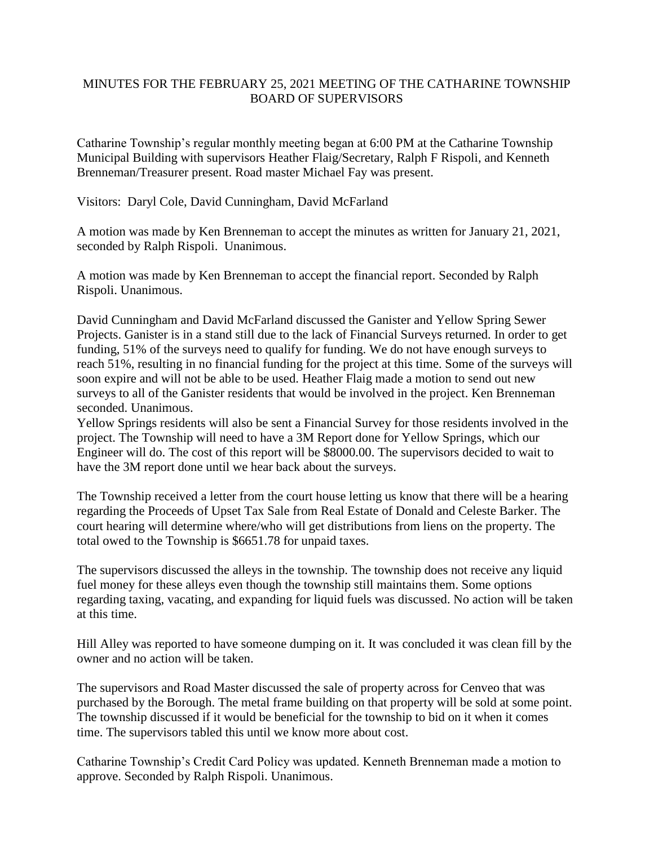## MINUTES FOR THE FEBRUARY 25, 2021 MEETING OF THE CATHARINE TOWNSHIP BOARD OF SUPERVISORS

Catharine Township's regular monthly meeting began at 6:00 PM at the Catharine Township Municipal Building with supervisors Heather Flaig/Secretary, Ralph F Rispoli, and Kenneth Brenneman/Treasurer present. Road master Michael Fay was present.

Visitors: Daryl Cole, David Cunningham, David McFarland

A motion was made by Ken Brenneman to accept the minutes as written for January 21, 2021, seconded by Ralph Rispoli. Unanimous.

A motion was made by Ken Brenneman to accept the financial report. Seconded by Ralph Rispoli. Unanimous.

David Cunningham and David McFarland discussed the Ganister and Yellow Spring Sewer Projects. Ganister is in a stand still due to the lack of Financial Surveys returned. In order to get funding, 51% of the surveys need to qualify for funding. We do not have enough surveys to reach 51%, resulting in no financial funding for the project at this time. Some of the surveys will soon expire and will not be able to be used. Heather Flaig made a motion to send out new surveys to all of the Ganister residents that would be involved in the project. Ken Brenneman seconded. Unanimous.

Yellow Springs residents will also be sent a Financial Survey for those residents involved in the project. The Township will need to have a 3M Report done for Yellow Springs, which our Engineer will do. The cost of this report will be \$8000.00. The supervisors decided to wait to have the 3M report done until we hear back about the surveys.

The Township received a letter from the court house letting us know that there will be a hearing regarding the Proceeds of Upset Tax Sale from Real Estate of Donald and Celeste Barker. The court hearing will determine where/who will get distributions from liens on the property. The total owed to the Township is \$6651.78 for unpaid taxes.

The supervisors discussed the alleys in the township. The township does not receive any liquid fuel money for these alleys even though the township still maintains them. Some options regarding taxing, vacating, and expanding for liquid fuels was discussed. No action will be taken at this time.

Hill Alley was reported to have someone dumping on it. It was concluded it was clean fill by the owner and no action will be taken.

The supervisors and Road Master discussed the sale of property across for Cenveo that was purchased by the Borough. The metal frame building on that property will be sold at some point. The township discussed if it would be beneficial for the township to bid on it when it comes time. The supervisors tabled this until we know more about cost.

Catharine Township's Credit Card Policy was updated. Kenneth Brenneman made a motion to approve. Seconded by Ralph Rispoli. Unanimous.